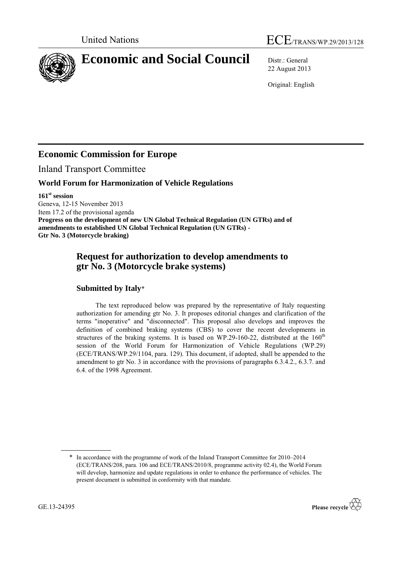



# **Economic and Social Council** Distr.: General

22 August 2013

Original: English

## **Economic Commission for Europe**

Inland Transport Committee

#### **World Forum for Harmonization of Vehicle Regulations**

**161st session**

Geneva, 12-15 November 2013 Item 17.2 of the provisional agenda **Progress on the development of new UN Global Technical Regulation (UN GTRs) and of amendments to established UN Global Technical Regulation (UN GTRs) - Gtr No. 3 (Motorcycle braking)**

### **Request for authorization to develop amendments to gtr No. 3 (Motorcycle brake systems)**

#### **Submitted by Italy**\*

The text reproduced below was prepared by the representative of Italy requesting authorization for amending gtr No. 3. It proposes editorial changes and clarification of the terms "inoperative" and "disconnected". This proposal also develops and improves the definition of combined braking systems (CBS) to cover the recent developments in structures of the braking systems. It is based on WP.29-160-22, distributed at the  $160<sup>th</sup>$ session of the World Forum for Harmonization of Vehicle Regulations (WP.29) (ECE/TRANS/WP.29/1104, para. 129). This document, if adopted, shall be appended to the amendment to gtr No. 3 in accordance with the provisions of paragraphs 6.3.4.2., 6.3.7. and 6.4. of the 1998 Agreement.

<sup>\*</sup> In accordance with the programme of work of the Inland Transport Committee for 2010–2014 (ECE/TRANS/208, para. 106 and ECE/TRANS/2010/8, programme activity 02.4), the World Forum will develop, harmonize and update regulations in order to enhance the performance of vehicles. The present document is submitted in conformity with that mandate.

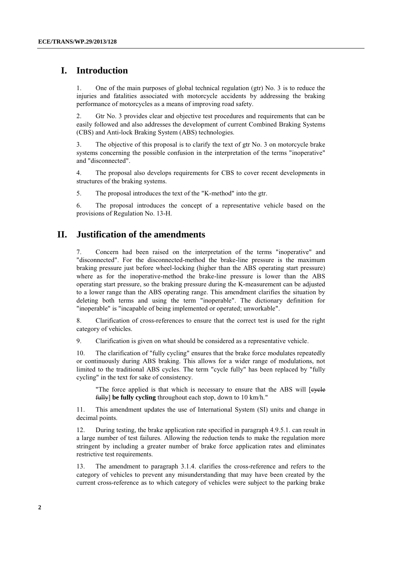#### **I. Introduction**

1. One of the main purposes of global technical regulation (gtr) No. 3 is to reduce the injuries and fatalities associated with motorcycle accidents by addressing the braking performance of motorcycles as a means of improving road safety.

2. Gtr No. 3 provides clear and objective test procedures and requirements that can be easily followed and also addresses the development of current Combined Braking Systems (CBS) and Anti-lock Braking System (ABS) technologies.

3. The objective of this proposal is to clarify the text of gtr No. 3 on motorcycle brake systems concerning the possible confusion in the interpretation of the terms "inoperative" and "disconnected".

4. The proposal also develops requirements for CBS to cover recent developments in structures of the braking systems.

5. The proposal introduces the text of the "K-method" into the gtr.

6. The proposal introduces the concept of a representative vehicle based on the provisions of Regulation No. 13-H.

#### **II. Justification of the amendments**

7. Concern had been raised on the interpretation of the terms "inoperative" and "disconnected". For the disconnected-method the brake-line pressure is the maximum braking pressure just before wheel-locking (higher than the ABS operating start pressure) where as for the inoperative-method the brake-line pressure is lower than the ABS operating start pressure, so the braking pressure during the K-measurement can be adjusted to a lower range than the ABS operating range. This amendment clarifies the situation by deleting both terms and using the term "inoperable". The dictionary definition for "inoperable" is "incapable of being implemented or operated; unworkable".

8. Clarification of cross-references to ensure that the correct test is used for the right category of vehicles.

9. Clarification is given on what should be considered as a representative vehicle.

10. The clarification of "fully cycling" ensures that the brake force modulates repeatedly or continuously during ABS braking. This allows for a wider range of modulations, not limited to the traditional ABS cycles. The term "cycle fully" has been replaced by "fully cycling" in the text for sake of consistency.

"The force applied is that which is necessary to ensure that the ABS will [evelend] fully] **be fully cycling** throughout each stop, down to 10 km/h."

11. This amendment updates the use of International System (SI) units and change in decimal points.

12. During testing, the brake application rate specified in paragraph 4.9.5.1. can result in a large number of test failures. Allowing the reduction tends to make the regulation more stringent by including a greater number of brake force application rates and eliminates restrictive test requirements.

13. The amendment to paragraph 3.1.4. clarifies the cross-reference and refers to the category of vehicles to prevent any misunderstanding that may have been created by the current cross-reference as to which category of vehicles were subject to the parking brake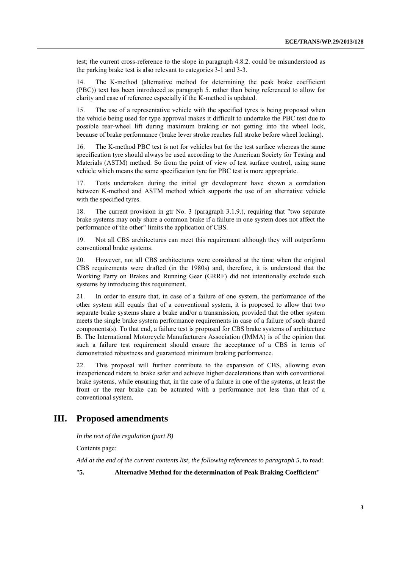test; the current cross-reference to the slope in paragraph 4.8.2. could be misunderstood as the parking brake test is also relevant to categories 3-1 and 3-3.

14. The K-method (alternative method for determining the peak brake coefficient (PBC)) text has been introduced as paragraph 5. rather than being referenced to allow for clarity and ease of reference especially if the K-method is updated.

15. The use of a representative vehicle with the specified tyres is being proposed when the vehicle being used for type approval makes it difficult to undertake the PBC test due to possible rear-wheel lift during maximum braking or not getting into the wheel lock, because of brake performance (brake lever stroke reaches full stroke before wheel locking).

16. The K-method PBC test is not for vehicles but for the test surface whereas the same specification tyre should always be used according to the American Society for Testing and Materials (ASTM) method. So from the point of view of test surface control, using same vehicle which means the same specification tyre for PBC test is more appropriate.

17. Tests undertaken during the initial gtr development have shown a correlation between K-method and ASTM method which supports the use of an alternative vehicle with the specified tyres.

18. The current provision in gtr No. 3 (paragraph 3.1.9.), requiring that "two separate brake systems may only share a common brake if a failure in one system does not affect the performance of the other" limits the application of CBS.

19. Not all CBS architectures can meet this requirement although they will outperform conventional brake systems.

20. However, not all CBS architectures were considered at the time when the original CBS requirements were drafted (in the 1980s) and, therefore, it is understood that the Working Party on Brakes and Running Gear (GRRF) did not intentionally exclude such systems by introducing this requirement.

21. In order to ensure that, in case of a failure of one system, the performance of the other system still equals that of a conventional system, it is proposed to allow that two separate brake systems share a brake and/or a transmission, provided that the other system meets the single brake system performance requirements in case of a failure of such shared components(s). To that end, a failure test is proposed for CBS brake systems of architecture B. The International Motorcycle Manufacturers Association (IMMA) is of the opinion that such a failure test requirement should ensure the acceptance of a CBS in terms of demonstrated robustness and guaranteed minimum braking performance.

22. This proposal will further contribute to the expansion of CBS, allowing even inexperienced riders to brake safer and achieve higher decelerations than with conventional brake systems, while ensuring that, in the case of a failure in one of the systems, at least the front or the rear brake can be actuated with a performance not less than that of a conventional system.

#### **III. Proposed amendments**

*In the text of the regulation (part B)*

Contents page:

*Add at the end of the current contents list, the following references to paragraph 5*, to read:

"**5. Alternative Method for the determination of Peak Braking Coefficient**"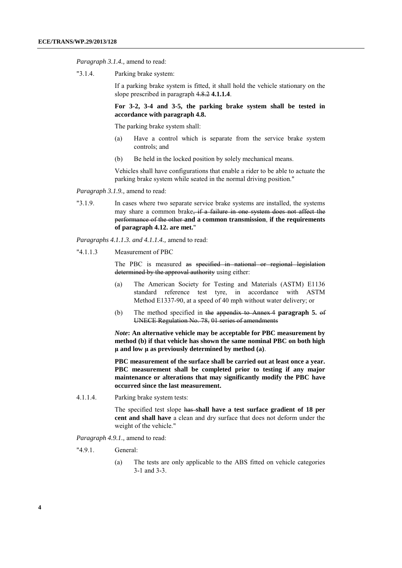*Paragraph 3.1.4.,* amend to read:

"3.1.4. Parking brake system:

If a parking brake system is fitted, it shall hold the vehicle stationary on the slope prescribed in paragraph 4.8.2 **4.1.1.4**.

**For 3-2, 3-4 and 3-5, the parking brake system shall be tested in accordance with paragraph 4.8.**

The parking brake system shall:

- (a) Have a control which is separate from the service brake system controls; and
- (b) Be held in the locked position by solely mechanical means.

Vehicles shall have configurations that enable a rider to be able to actuate the parking brake system while seated in the normal driving position."

*Paragraph 3.1.9.,* amend to read:

"3.1.9. In cases where two separate service brake systems are installed, the systems may share a common brake, if a failure in one system does not affect the performance of the other **and a common transmission**, **if the requirements of paragraph 4.12. are met.**"

*Paragraphs 4.1.1.3. and 4.1.1.4.,* amend to read:

"4.1.1.3 Measurement of PBC

The PBC is measured as specified in national or regional legislation determined by the approval authority using either:

- (a) The American Society for Testing and Materials (ASTM) E1136 standard reference test tyre, in accordance with ASTM Method E1337-90, at a speed of 40 mph without water delivery; or
- (b) The method specified in the appendix to Annex 4 **paragraph 5.** of UNECE Regulation No. 78, 01 series of amendments

*Note***: An alternative vehicle may be acceptable for PBC measurement by method (b) if that vehicle has shown the same nominal PBC on both high μ and low μ as previously determined by method (a)**.

**PBC measurement of the surface shall be carried out at least once a year. PBC measurement shall be completed prior to testing if any major maintenance or alterations that may significantly modify the PBC have occurred since the last measurement.**

4.1.1.4. Parking brake system tests:

The specified test slope has **shall have a test surface gradient of 18 per cent and shall have** a clean and dry surface that does not deform under the weight of the vehicle."

*Paragraph 4.9.1.,* amend to read:

- "4.9.1. General:
	- (a) The tests are only applicable to the ABS fitted on vehicle categories 3-1 and 3-3.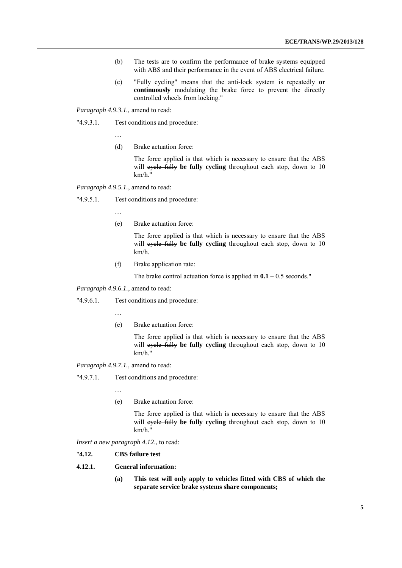- (b) The tests are to confirm the performance of brake systems equipped with ABS and their performance in the event of ABS electrical failure.
- (c) "Fully cycling" means that the anti-lock system is repeatedly **or continuously** modulating the brake force to prevent the directly controlled wheels from locking."

*Paragraph 4.9.3.1.,* amend to read:

"4.9.3.1. Test conditions and procedure:

…

(d) Brake actuation force:

The force applied is that which is necessary to ensure that the ABS will evele fully be fully cycling throughout each stop, down to 10 km/h."

*Paragraph 4.9.5.1.*, amend to read:

"4.9.5.1. Test conditions and procedure:

…

(e) Brake actuation force:

The force applied is that which is necessary to ensure that the ABS will evele fully be fully cycling throughout each stop, down to 10 km/h.

(f) Brake application rate:

The brake control actuation force is applied in  $0.1 - 0.5$  seconds."

*Paragraph 4.9.6.1.*, amend to read:

"4.9.6.1. Test conditions and procedure:

…

(e) Brake actuation force:

The force applied is that which is necessary to ensure that the ABS will eyele fully be fully cycling throughout each stop, down to 10 km/h."

*Paragraph 4.9.7.1.,* amend to read:

"4.9.7.1. Test conditions and procedure:

…

(e) Brake actuation force:

The force applied is that which is necessary to ensure that the ABS will eyele fully be fully cycling throughout each stop, down to 10 km/h."

*Insert a new paragraph 4.12*., to read:

- "**4.12. CBS failure test**
- **4.12.1. General information:**
	- **(a) This test will only apply to vehicles fitted with CBS of which the separate service brake systems share components;**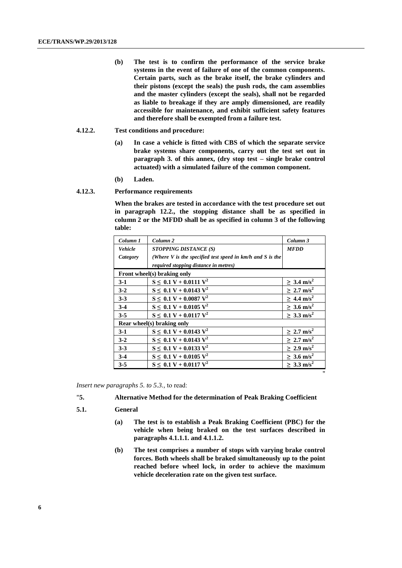- **(b) The test is to confirm the performance of the service brake systems in the event of failure of one of the common components. Certain parts, such as the brake itself, the brake cylinders and their pistons (except the seals) the push rods, the cam assemblies and the master cylinders (except the seals), shall not be regarded as liable to breakage if they are amply dimensioned, are readily accessible for maintenance, and exhibit sufficient safety features and therefore shall be exempted from a failure test.**
- **4.12.2. Test conditions and procedure:**
	- **(a) In case a vehicle is fitted with CBS of which the separate service brake systems share components, carry out the test set out in paragraph 3. of this annex, (dry stop test – single brake control actuated) with a simulated failure of the common component.**
	- **(b) Laden.**
- **4.12.3. Performance requirements**

**When the brakes are tested in accordance with the test procedure set out in paragraph 12.2., the stopping distance shall be as specified in column 2 or the MFDD shall be as specified in column 3 of the following table:**

| Column 1                    | Column <sub>2</sub>                                             | Column 3                    |
|-----------------------------|-----------------------------------------------------------------|-----------------------------|
| <b>Vehicle</b>              | <b>STOPPING DISTANCE (S)</b>                                    | <b>MFDD</b>                 |
| Category                    | (Where $V$ is the specified test speed in $km/h$ and $S$ is the |                             |
|                             | required stopping distance in metres)                           |                             |
| Front wheel(s) braking only |                                                                 |                             |
| $3-1$                       | $S \leq 0.1 V + 0.0111 V^2$                                     | $> 3.4 \text{ m/s}^2$       |
| $3 - 2$                     | $S \leq 0.1 V + 0.0143 V^2$                                     | $\geq 2.7$ m/s <sup>2</sup> |
| $3 - 3$                     | $S \leq 0.1 V + 0.0087 V^2$                                     | $\geq 4.4$ m/s <sup>2</sup> |
| $3-4$                       | $S \leq 0.1 V + 0.0105 V^2$                                     | $> 3.6$ m/s <sup>2</sup>    |
| $3 - 5$                     | $S \leq 0.1 V + 0.0117 V^2$                                     | $\geq 3.3$ m/s <sup>2</sup> |
| Rear wheel(s) braking only  |                                                                 |                             |
| $3-1$                       | $S \leq 0.1 V + 0.0143 V^2$                                     | $> 2.7$ m/s <sup>2</sup>    |
| $3-2$                       | $S \leq 0.1 V + 0.0143 V^2$                                     | $\geq 2.7 \text{ m/s}^2$    |
| $3 - 3$                     | $S \leq 0.1 V + 0.0133 V^2$                                     | $\geq 2.9$ m/s <sup>2</sup> |
| $3-4$                       | $S \leq 0.1 V + 0.0105 V^2$                                     | $> 3.6$ m/s <sup>2</sup>    |
| $3 - 5$                     | $S \leq 0.1 V + 0.0117 V^2$                                     | $> 3.3$ m/s <sup>2</sup>    |

*Insert new paragraphs 5. to 5.3.,* to read:

- "**5. Alternative Method for the determination of Peak Braking Coefficient**
- **5.1. General**
	- **(a) The test is to establish a Peak Braking Coefficient (PBC) for the vehicle when being braked on the test surfaces described in paragraphs 4.1.1.1. and 4.1.1.2.**

"

**(b) The test comprises a number of stops with varying brake control forces. Both wheels shall be braked simultaneously up to the point reached before wheel lock, in order to achieve the maximum vehicle deceleration rate on the given test surface.**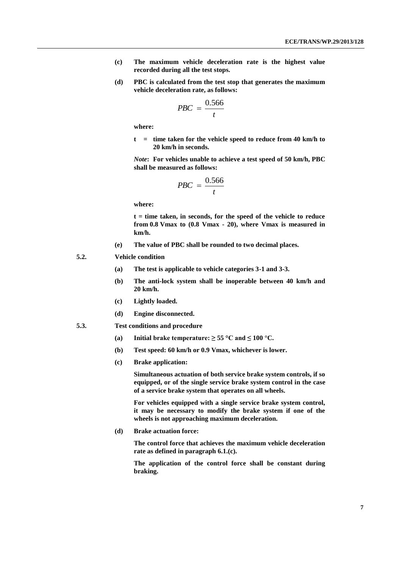- **(c) The maximum vehicle deceleration rate is the highest value recorded during all the test stops.**
- **(d) PBC is calculated from the test stop that generates the maximum vehicle deceleration rate, as follows:**

$$
PBC = \frac{0.566}{t}
$$

**where:**

**t = time taken for the vehicle speed to reduce from 40 km/h to 20 km/h in seconds.**

*Note***: For vehicles unable to achieve a test speed of 50 km/h, PBC shall be measured as follows:**

$$
PBC = \frac{0.566}{t}
$$

**where:**

**t = time taken, in seconds, for the speed of the vehicle to reduce from 0.8 Vmax to (0.8 Vmax - 20), where Vmax is measured in km/h.**

- **(e) The value of PBC shall be rounded to two decimal places.**
- **5.2. Vehicle condition**
	- **(a) The test is applicable to vehicle categories 3-1 and 3-3.**
	- **(b) The anti-lock system shall be inoperable between 40 km/h and 20 km/h.**
	- **(c) Lightly loaded.**
	- **(d) Engine disconnected.**
- **5.3. Test conditions and procedure**
	- **(a) Initial brake temperature:**  $\geq 55^{\circ}$ **C and**  $\leq 100^{\circ}$ **C.**
	- **(b) Test speed: 60 km/h or 0.9 Vmax, whichever is lower.**
	- **(c) Brake application:**

**Simultaneous actuation of both service brake system controls, if so equipped, or of the single service brake system control in the case of a service brake system that operates on all wheels.**

**For vehicles equipped with a single service brake system control, it may be necessary to modify the brake system if one of the wheels is not approaching maximum deceleration.**

**(d) Brake actuation force:**

**The control force that achieves the maximum vehicle deceleration rate as defined in paragraph 6.1.(c).**

**The application of the control force shall be constant during braking.**